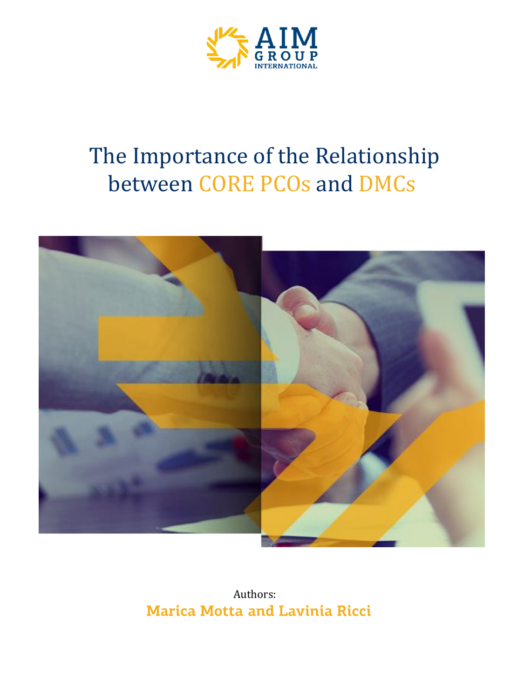

# The Importance of the Relationship between CORE PCOs and DMCs



Authors: **Marica Motta and Lavinia Ricci**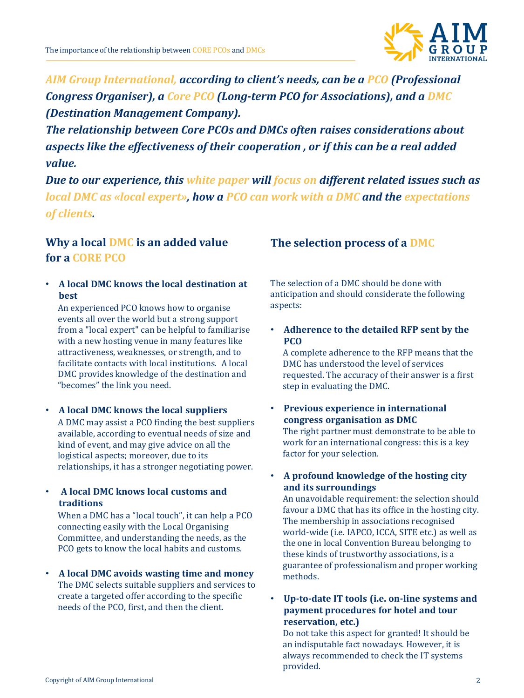

*AIM Group International, according to client's needs, can be a PCO (Professional Congress Organiser), a Core PCO (Long-term PCO for Associations), and a DMC (Destination Management Company).* 

*The relationship between Core PCOs and DMCs often raises considerations about aspects like the effectiveness of their cooperation , or if this can be a real added value.*

*Due to our experience, this white paper will focus on different related issues such as local DMC as «local expert», how a PCO can work with a DMC and the expectations of clients.*

## **Why a local DMC is an added value for a CORE PCO**

• **A local DMC knows the local destination at best**

An experienced PCO knows how to organise events all over the world but a strong support from a "local expert" can be helpful to familiarise with a new hosting venue in many features like attractiveness, weaknesses, or strength, and to facilitate contacts with local institutions. A local DMC provides knowledge of the destination and "becomes" the link you need.

- **A local DMC knows the local suppliers** A DMC may assist a PCO finding the best suppliers available, according to eventual needs of size and kind of event, and may give advice on all the logistical aspects; moreover, due to its relationships, it has a stronger negotiating power.
- **A local DMC knows local customs and traditions**

When a DMC has a "local touch", it can help a PCO connecting easily with the Local Organising Committee, and understanding the needs, as the PCO gets to know the local habits and customs.

• **A local DMC avoids wasting time and money** The DMC selects suitable suppliers and services to create a targeted offer according to the specific needs of the PCO, first, and then the client.

## **The selection process of a DMC**

The selection of a DMC should be done with anticipation and should considerate the following aspects:

• **Adherence to the detailed RFP sent by the PCO**

A complete adherence to the RFP means that the DMC has understood the level of services requested. The accuracy of their answer is a first step in evaluating the DMC.

- **Previous experience in international congress organisation as DMC** The right partner must demonstrate to be able to work for an international congress: this is a key factor for your selection.
- **A profound knowledge of the hosting city and its surroundings**

An unavoidable requirement: the selection should favour a DMC that has its office in the hosting city. The membership in associations recognised world-wide (i.e. IAPCO, ICCA, SITE etc.) as well as the one in local Convention Bureau belonging to these kinds of trustworthy associations, is a guarantee of professionalism and proper working methods.

• **Up-to-date IT tools (i.e. on-line systems and payment procedures for hotel and tour reservation, etc.)**

Do not take this aspect for granted! It should be an indisputable fact nowadays. However, it is always recommended to check the IT systems provided.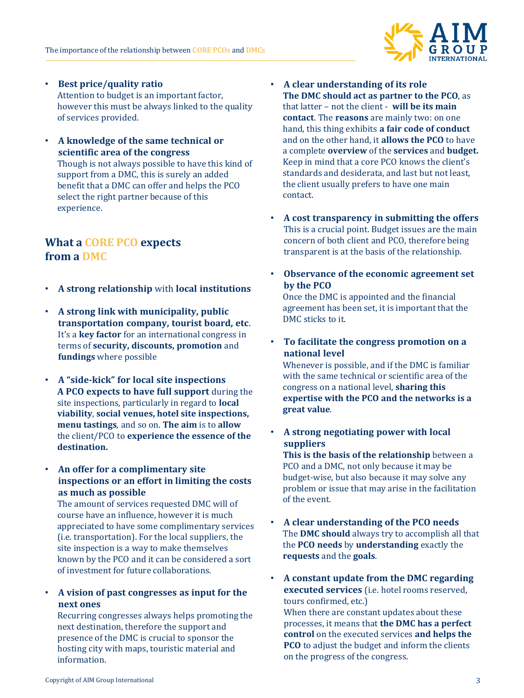

• **Best price/quality ratio** Attention to budget is an important factor, however this must be always linked to the quality

of services provided.

• **A knowledge of the same technical or scientific area of the congress**

Though is not always possible to have this kind of support from a DMC, this is surely an added benefit that a DMC can offer and helps the PCO select the right partner because of this experience.

## **What a CORE PCO expects from a DMC**

- **A strong relationship** with **local institutions**
- **A strong link with municipality, public transportation company, tourist board, etc**. It's a **key factor** for an international congress in terms of **security, discounts, promotion** and **fundings** where possible
- **A "side-kick" for local site inspections A PCO expects to have full support** during the site inspections, particularly in regard to **local viability**, **social venues, hotel site inspections, menu tastings**, and so on. **The aim** is to **allow** the client/PCO to **experience the essence of the destination.**
- **An offer for a complimentary site inspections or an effort in limiting the costs as much as possible**

The amount of services requested DMC will of course have an influence, however it is much appreciated to have some complimentary services (i.e. transportation). For the local suppliers, the site inspection is a way to make themselves known by the PCO and it can be considered a sort of investment for future collaborations.

• **A vision of past congresses as input for the next ones**

Recurring congresses always helps promoting the next destination, therefore the support and presence of the DMC is crucial to sponsor the hosting city with maps, touristic material and information.

- **A clear understanding of its role The DMC should act as partner to the PCO**, as that latter – not the client - **will be its main contact**. The **reasons** are mainly two: on one hand, this thing exhibits **a fair code of conduct**  and on the other hand, it **allows the PCO** to have a complete **overview** of the **services** and **budget.** Keep in mind that a core PCO knows the client's standards and desiderata, and last but not least, the client usually prefers to have one main contact.
- **A cost transparency in submitting the offers** This is a crucial point. Budget issues are the main concern of both client and PCO, therefore being transparent is at the basis of the relationship.
- **Observance of the economic agreement set by the PCO**

Once the DMC is appointed and the financial agreement has been set, it is important that the DMC sticks to it.

• **To facilitate the congress promotion on a national level** 

Whenever is possible, and if the DMC is familiar with the same technical or scientific area of the congress on a national level, **sharing this expertise with the PCO and the networks is a great value**.

- **A strong negotiating power with local suppliers This is the basis of the relationship** between a PCO and a DMC, not only because it may be budget-wise, but also because it may solve any problem or issue that may arise in the facilitation of the event.
- **A clear understanding of the PCO needs** The **DMC should** always try to accomplish all that the **PCO needs** by **understanding** exactly the **requests** and the **goals**.
- **A constant update from the DMC regarding executed services** (i.e. hotel rooms reserved, tours confirmed, etc.) When there are constant updates about these processes, it means that **the DMC has a perfect control** on the executed services **and helps the PCO** to adjust the budget and inform the clients

on the progress of the congress.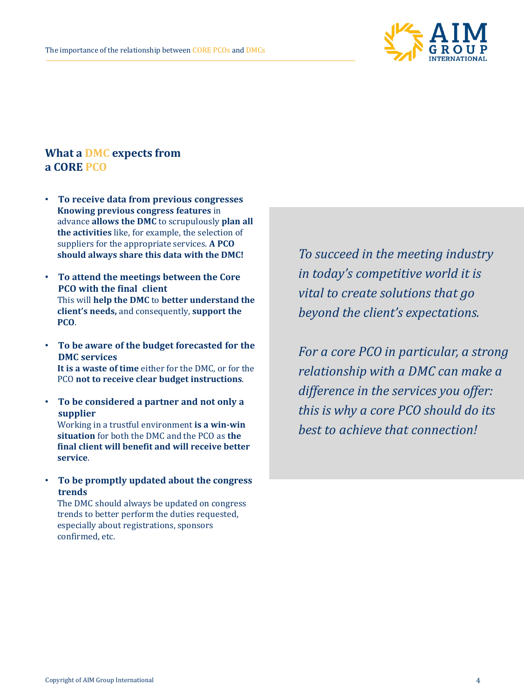

## **What a DMC expects from a CORE PCO**

- **To receive data from previous congresses Knowing previous congress features** in advance **allows the DMC** to scrupulously **plan all the activities** like, for example, the selection of suppliers for the appropriate services. **A PCO should always share this data with the DMC!**
- **To attend the meetings between the Core PCO with the final client** This will **help the DMC** to **better understand the client's needs,** and consequently, **support the PCO**.
- **To be aware of the budget forecasted for the DMC services It is a waste of time** either for the DMC, or for the PCO **not to receive clear budget instructions**.
- **To be considered a partner and not only a supplier** Working in a trustful environment **is a win-win**

**situation** for both the DMC and the PCO as **the final client will benefit and will receive better service**.

• **To be promptly updated about the congress trends**

The DMC should always be updated on congress trends to better perform the duties requested, especially about registrations, sponsors confirmed, etc.

*To succeed in the meeting industry in today's competitive world it is vital to create solutions that go beyond the client's expectations.*

*For a core PCO in particular, a strong relationship with a DMC can make a difference in the services you offer: this is why a core PCO should do its best to achieve that connection!*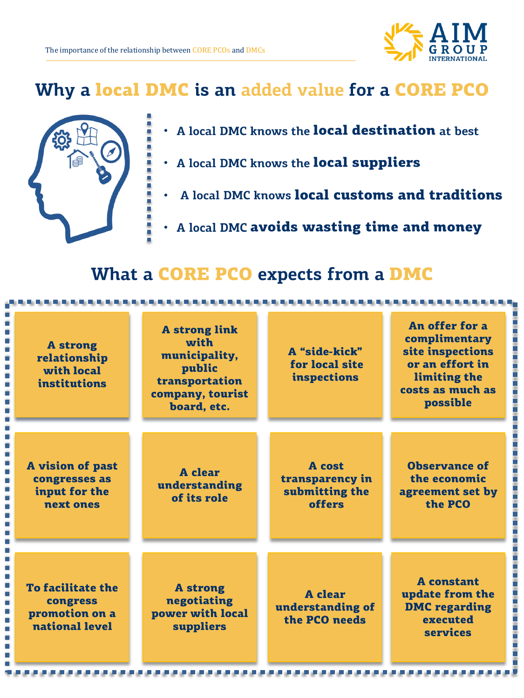

## Why a local DMC is an added value for a CORE PCO



- A local DMC knows the **local destination** at best •
- . A local DMC knows the local suppliers
- A local DMC knows local customs and traditions •
- A local DMC avoids wasting time and money •

## What a CORE PCO expects from a DMC

| <b>A</b> strong<br>relationship<br>with local<br>institutions            | <b>A</b> strong link<br>with<br>municipality,<br>public<br>transportation<br>company, tourist<br>board, etc. | A "side-kick"<br>for local site<br>inspections               | An offer for a<br>complimentary<br>site inspections<br>or an effort in<br>limiting the<br>costs as much as<br>possible |
|--------------------------------------------------------------------------|--------------------------------------------------------------------------------------------------------------|--------------------------------------------------------------|------------------------------------------------------------------------------------------------------------------------|
| A vision of past<br>congresses as<br>input for the<br>next ones          | A clear<br>understanding<br>of its role                                                                      | <b>A</b> cost<br>transparency in<br>submitting the<br>offers | <b>Observance of</b><br>the economic<br>agreement set by<br>the PCO                                                    |
| <b>To facilitate the</b><br>congress<br>promotion on a<br>national level | <b>A</b> strong<br>negotiating<br>power with local<br>suppliers                                              | <b>A</b> clear<br>understanding of<br>the PCO needs          | <b>A</b> constant<br>update from the<br><b>DMC</b> regarding<br>executed<br><b>services</b>                            |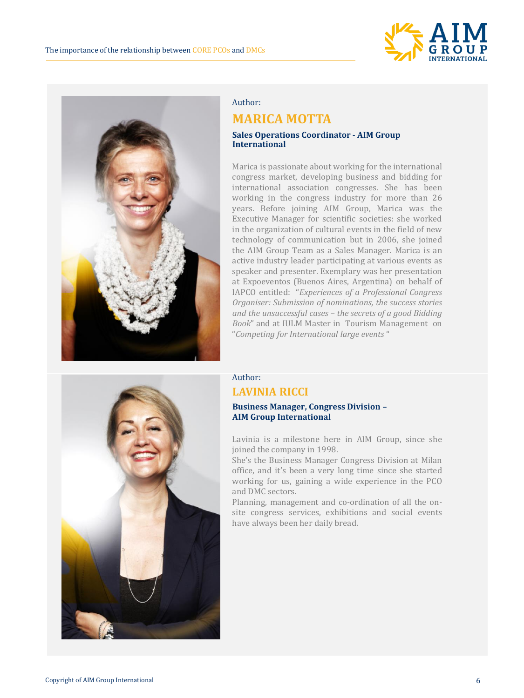



#### Author:

### **MARICA MOTTA**

#### **Sales Operations Coordinator - AIM Group International**

Marica is passionate about working for the international congress market, developing business and bidding for international association congresses. She has been working in the congress industry for more than 26 years. Before joining AIM Group, Marica was the Executive Manager for scientific societies: she worked in the organization of cultural events in the field of new technology of communication but in 2006, she joined the AIM Group Team as a Sales Manager. Marica is an active industry leader participating at various events as speaker and presenter. Exemplary was her presentation at Expoeventos (Buenos Aires, Argentina) on behalf of IAPCO entitled: "*Experiences of a Professional Congress Organiser: Submission of nominations, the success stories and the unsuccessful cases – the secrets of a good Bidding Book*" and at IULM Master in Tourism Management on "*Competing for International large events* "



#### Author: **LAVINIA RICCI**

#### **Business Manager, Congress Division – AIM Group International**

Lavinia is a milestone here in AIM Group, since she joined the company in 1998.

She's the Business Manager Congress Division at Milan office, and it's been a very long time since she started working for us, gaining a wide experience in the PCO and DMC sectors.

Planning, management and co-ordination of all the onsite congress services, exhibitions and social events have always been her daily bread.